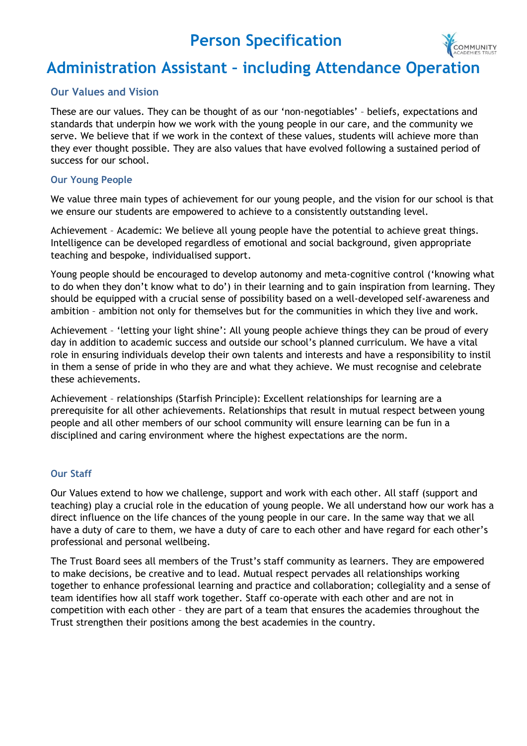# **Person Specification**



# **Administration Assistant – including Attendance Operation**

## **Our Values and Vision**

These are our values. They can be thought of as our 'non-negotiables' – beliefs, expectations and standards that underpin how we work with the young people in our care, and the community we serve. We believe that if we work in the context of these values, students will achieve more than they ever thought possible. They are also values that have evolved following a sustained period of success for our school.

#### **Our Young People**

We value three main types of achievement for our young people, and the vision for our school is that we ensure our students are empowered to achieve to a consistently outstanding level.

Achievement – Academic: We believe all young people have the potential to achieve great things. Intelligence can be developed regardless of emotional and social background, given appropriate teaching and bespoke, individualised support.

Young people should be encouraged to develop autonomy and meta-cognitive control ('knowing what to do when they don't know what to do') in their learning and to gain inspiration from learning. They should be equipped with a crucial sense of possibility based on a well-developed self-awareness and ambition – ambition not only for themselves but for the communities in which they live and work.

Achievement - 'letting your light shine': All young people achieve things they can be proud of every day in addition to academic success and outside our school's planned curriculum. We have a vital role in ensuring individuals develop their own talents and interests and have a responsibility to instil in them a sense of pride in who they are and what they achieve. We must recognise and celebrate these achievements.

Achievement – relationships (Starfish Principle): Excellent relationships for learning are a prerequisite for all other achievements. Relationships that result in mutual respect between young people and all other members of our school community will ensure learning can be fun in a disciplined and caring environment where the highest expectations are the norm.

### **Our Staff**

Our Values extend to how we challenge, support and work with each other. All staff (support and teaching) play a crucial role in the education of young people. We all understand how our work has a direct influence on the life chances of the young people in our care. In the same way that we all have a duty of care to them, we have a duty of care to each other and have regard for each other's professional and personal wellbeing.

The Trust Board sees all members of the Trust's staff community as learners. They are empowered to make decisions, be creative and to lead. Mutual respect pervades all relationships working together to enhance professional learning and practice and collaboration; collegiality and a sense of team identifies how all staff work together. Staff co-operate with each other and are not in competition with each other – they are part of a team that ensures the academies throughout the Trust strengthen their positions among the best academies in the country.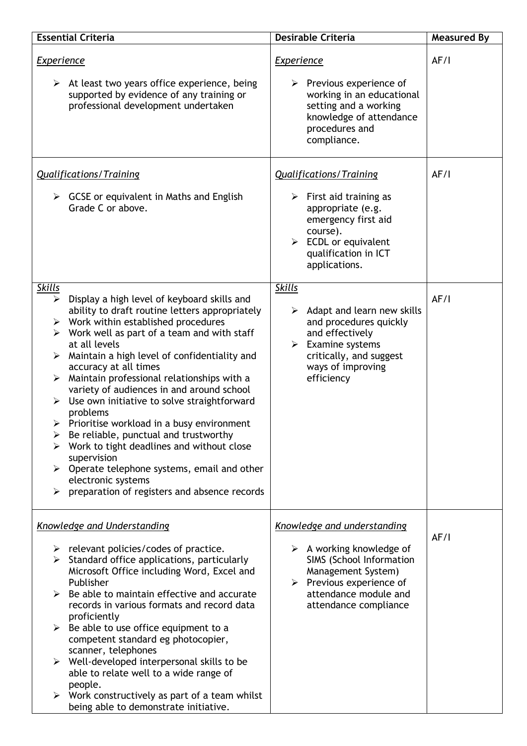| <b>Essential Criteria</b>                                                                                                                                                                                                                                                                                                                                                                                                                                                                                                                                                                                                                                                                                                                                                  | <b>Desirable Criteria</b>                                                                                                                                                              | <b>Measured By</b> |
|----------------------------------------------------------------------------------------------------------------------------------------------------------------------------------------------------------------------------------------------------------------------------------------------------------------------------------------------------------------------------------------------------------------------------------------------------------------------------------------------------------------------------------------------------------------------------------------------------------------------------------------------------------------------------------------------------------------------------------------------------------------------------|----------------------------------------------------------------------------------------------------------------------------------------------------------------------------------------|--------------------|
| <b>Experience</b>                                                                                                                                                                                                                                                                                                                                                                                                                                                                                                                                                                                                                                                                                                                                                          | <b>Experience</b>                                                                                                                                                                      | AF/I               |
| $\triangleright$ At least two years office experience, being<br>supported by evidence of any training or<br>professional development undertaken                                                                                                                                                                                                                                                                                                                                                                                                                                                                                                                                                                                                                            | $\triangleright$ Previous experience of<br>working in an educational<br>setting and a working<br>knowledge of attendance<br>procedures and<br>compliance.                              |                    |
| <b>Qualifications/Training</b>                                                                                                                                                                                                                                                                                                                                                                                                                                                                                                                                                                                                                                                                                                                                             | <b>Qualifications/Training</b>                                                                                                                                                         | AF/I               |
| $\triangleright$ GCSE or equivalent in Maths and English<br>Grade C or above.                                                                                                                                                                                                                                                                                                                                                                                                                                                                                                                                                                                                                                                                                              | $\triangleright$ First aid training as<br>appropriate (e.g.<br>emergency first aid<br>course).<br>$\triangleright$ ECDL or equivalent<br>qualification in ICT<br>applications.         |                    |
| <b>Skills</b>                                                                                                                                                                                                                                                                                                                                                                                                                                                                                                                                                                                                                                                                                                                                                              | <b>Skills</b>                                                                                                                                                                          |                    |
| Display a high level of keyboard skills and<br>≻<br>ability to draft routine letters appropriately<br>$\triangleright$ Work within established procedures<br>Work well as part of a team and with staff<br>➤<br>at all levels<br>Maintain a high level of confidentiality and<br>➤<br>accuracy at all times<br>Maintain professional relationships with a<br>$\blacktriangleright$<br>variety of audiences in and around school<br>Use own initiative to solve straightforward<br>problems<br>Prioritise workload in a busy environment<br>➤<br>Be reliable, punctual and trustworthy<br>➤<br>Work to tight deadlines and without close<br>supervision<br>Operate telephone systems, email and other<br>electronic systems<br>preparation of registers and absence records | $\triangleright$ Adapt and learn new skills<br>and procedures quickly<br>and effectively<br>Examine systems<br>≻<br>critically, and suggest<br>ways of improving<br>efficiency         | AF/I               |
| <b>Knowledge and Understanding</b>                                                                                                                                                                                                                                                                                                                                                                                                                                                                                                                                                                                                                                                                                                                                         | Knowledge and understanding                                                                                                                                                            |                    |
| $\triangleright$ relevant policies/codes of practice.<br>$\triangleright$ Standard office applications, particularly<br>Microsoft Office including Word, Excel and<br>Publisher<br>Be able to maintain effective and accurate<br>records in various formats and record data<br>proficiently<br>Be able to use office equipment to a<br>➤<br>competent standard eg photocopier,<br>scanner, telephones<br>$\triangleright$ Well-developed interpersonal skills to be<br>able to relate well to a wide range of<br>people.<br>$\triangleright$ Work constructively as part of a team whilst<br>being able to demonstrate initiative.                                                                                                                                         | $\triangleright$ A working knowledge of<br>SIMS (School Information<br>Management System)<br>$\triangleright$ Previous experience of<br>attendance module and<br>attendance compliance | AF/I               |